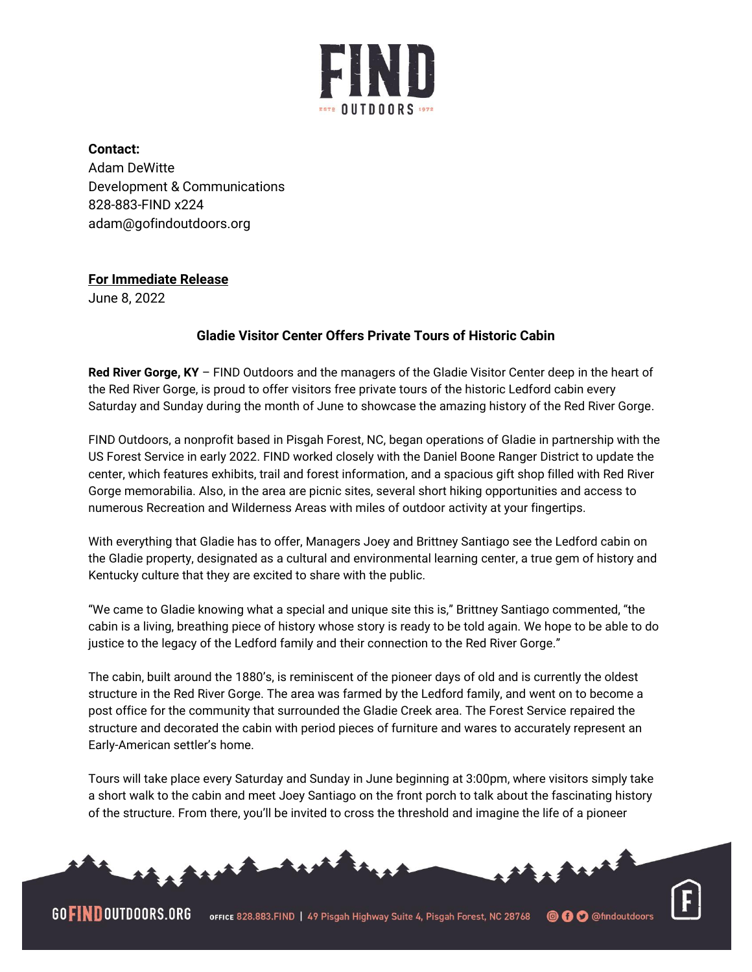

**Contact:** Adam DeWitte Development & Communications 828-883-FIND x224 adam@gofindoutdoors.org

## **For Immediate Release**

June 8, 2022

## **Gladie Visitor Center Offers Private Tours of Historic Cabin**

**Red River Gorge, KY** – FIND Outdoors and the managers of the Gladie Visitor Center deep in the heart of the Red River Gorge, is proud to offer visitors free private tours of the historic Ledford cabin every Saturday and Sunday during the month of June to showcase the amazing history of the Red River Gorge.

FIND Outdoors, a nonprofit based in Pisgah Forest, NC, began operations of Gladie in partnership with the US Forest Service in early 2022. FIND worked closely with the Daniel Boone Ranger District to update the center, which features exhibits, trail and forest information, and a spacious gift shop filled with Red River Gorge memorabilia. Also, in the area are picnic sites, several short hiking opportunities and access to numerous Recreation and Wilderness Areas with miles of outdoor activity at your fingertips.

With everything that Gladie has to offer, Managers Joey and Brittney Santiago see the Ledford cabin on the Gladie property, designated as a cultural and environmental learning center, a true gem of history and Kentucky culture that they are excited to share with the public.

"We came to Gladie knowing what a special and unique site this is," Brittney Santiago commented, "the cabin is a living, breathing piece of history whose story is ready to be told again. We hope to be able to do justice to the legacy of the Ledford family and their connection to the Red River Gorge."

The cabin, built around the 1880's, is reminiscent of the pioneer days of old and is currently the oldest structure in the Red River Gorge. The area was farmed by the Ledford family, and went on to become a post office for the community that surrounded the Gladie Creek area. The Forest Service repaired the structure and decorated the cabin with period pieces of furniture and wares to accurately represent an Early-American settler's home.

Tours will take place every Saturday and Sunday in June beginning at 3:00pm, where visitors simply take a short walk to the cabin and meet Joey Santiago on the front porch to talk about the fascinating history of the structure. From there, you'll be invited to cross the threshold and imagine the life of a pioneer